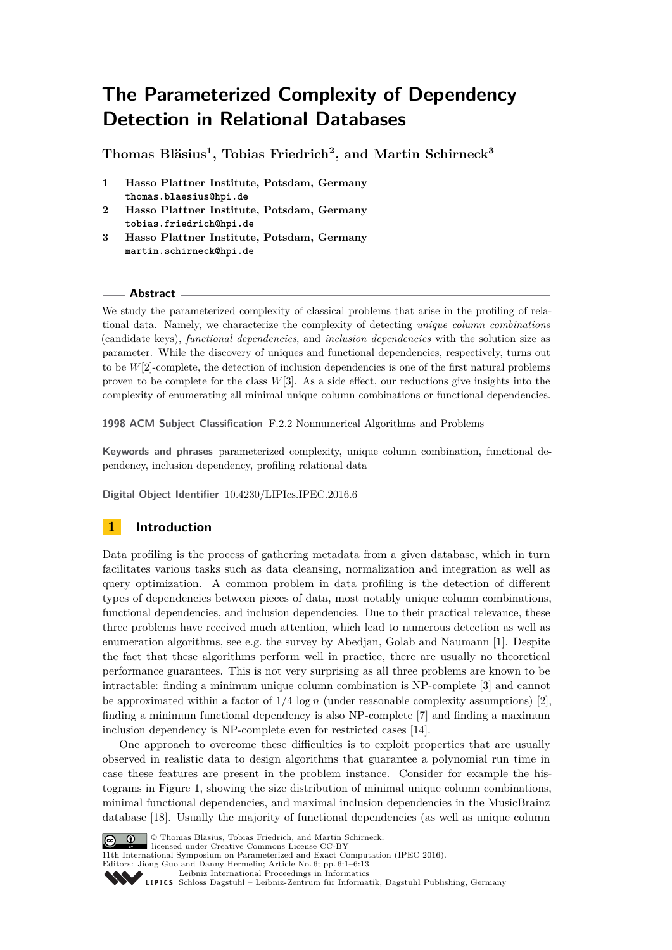# **The Parameterized Complexity of Dependency Detection in Relational Databases**

**Thomas Bläsius<sup>1</sup> , Tobias Friedrich<sup>2</sup> , and Martin Schirneck<sup>3</sup>**

- **1 Hasso Plattner Institute, Potsdam, Germany thomas.blaesius@hpi.de**
- **2 Hasso Plattner Institute, Potsdam, Germany tobias.friedrich@hpi.de**
- **3 Hasso Plattner Institute, Potsdam, Germany martin.schirneck@hpi.de**

## **Abstract**

We study the parameterized complexity of classical problems that arise in the profiling of relational data. Namely, we characterize the complexity of detecting *unique column combinations* (candidate keys), *functional dependencies*, and *inclusion dependencies* with the solution size as parameter. While the discovery of uniques and functional dependencies, respectively, turns out to be *W*[2]-complete, the detection of inclusion dependencies is one of the first natural problems proven to be complete for the class *W*[3]. As a side effect, our reductions give insights into the complexity of enumerating all minimal unique column combinations or functional dependencies.

**1998 ACM Subject Classification** F.2.2 Nonnumerical Algorithms and Problems

**Keywords and phrases** parameterized complexity, unique column combination, functional dependency, inclusion dependency, profiling relational data

**Digital Object Identifier** [10.4230/LIPIcs.IPEC.2016.6](http://dx.doi.org/10.4230/LIPIcs.IPEC.2016.6)

# **1 Introduction**

Data profiling is the process of gathering metadata from a given database, which in turn facilitates various tasks such as data cleansing, normalization and integration as well as query optimization. A common problem in data profiling is the detection of different types of dependencies between pieces of data, most notably unique column combinations, functional dependencies, and inclusion dependencies. Due to their practical relevance, these three problems have received much attention, which lead to numerous detection as well as enumeration algorithms, see e.g. the survey by Abedjan, Golab and Naumann [\[1\]](#page-11-0). Despite the fact that these algorithms perform well in practice, there are usually no theoretical performance guarantees. This is not very surprising as all three problems are known to be intractable: finding a minimum unique column combination is NP-complete [\[3\]](#page-11-1) and cannot be approximated within a factor of  $1/4 \log n$  (under reasonable complexity assumptions) [\[2\]](#page-11-2), finding a minimum functional dependency is also NP-complete [\[7\]](#page-11-3) and finding a maximum inclusion dependency is NP-complete even for restricted cases [\[14\]](#page-11-4).

One approach to overcome these difficulties is to exploit properties that are usually observed in realistic data to design algorithms that guarantee a polynomial run time in case these features are present in the problem instance. Consider for example the histograms in Figure [1,](#page-1-0) showing the size distribution of minimal unique column combinations, minimal functional dependencies, and maximal inclusion dependencies in the MusicBrainz database [\[18\]](#page-12-0). Usually the majority of functional dependencies (as well as unique column



© Thomas Bläsius, Tobias Friedrich, and Martin Schirneck;

licensed under Creative Commons License CC-BY 11th International Symposium on Parameterized and Exact Computation (IPEC 2016).

Editors: Jiong Guo and Danny Hermelin; Article No. 6; pp. 6:1–6[:13](#page-12-1)

[Leibniz International Proceedings in Informatics](http://www.dagstuhl.de/lipics/)

[Schloss Dagstuhl – Leibniz-Zentrum für Informatik, Dagstuhl Publishing, Germany](http://www.dagstuhl.de)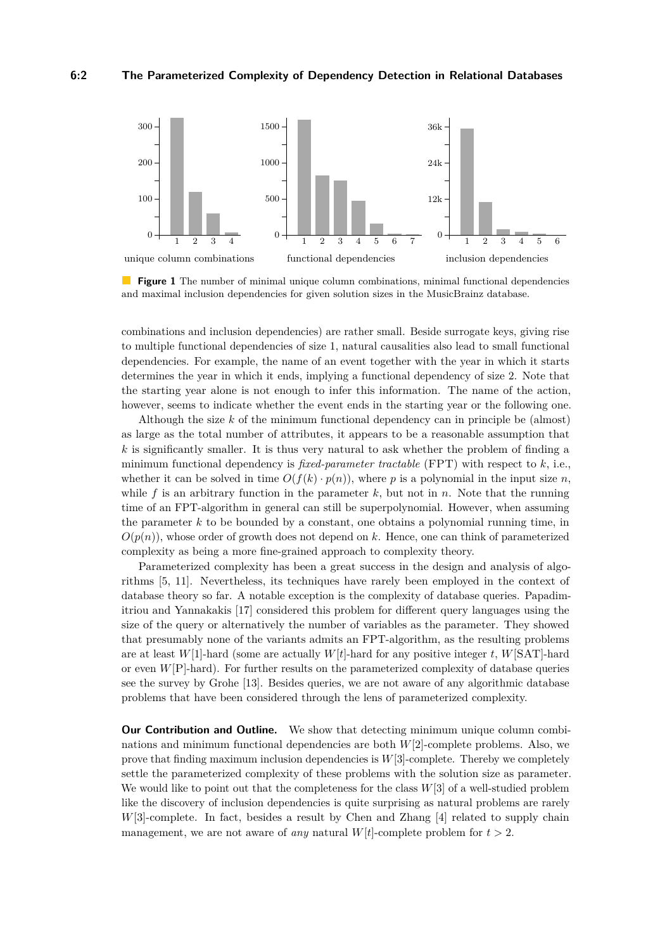<span id="page-1-0"></span>

**Figure 1** The number of minimal unique column combinations, minimal functional dependencies and maximal inclusion dependencies for given solution sizes in the MusicBrainz database.

combinations and inclusion dependencies) are rather small. Beside surrogate keys, giving rise to multiple functional dependencies of size 1, natural causalities also lead to small functional dependencies. For example, the name of an event together with the year in which it starts determines the year in which it ends, implying a functional dependency of size 2. Note that the starting year alone is not enough to infer this information. The name of the action, however, seems to indicate whether the event ends in the starting year or the following one.

Although the size *k* of the minimum functional dependency can in principle be (almost) as large as the total number of attributes, it appears to be a reasonable assumption that *k* is significantly smaller. It is thus very natural to ask whether the problem of finding a minimum functional dependency is *fixed-parameter tractable* (FPT) with respect to *k*, i.e., whether it can be solved in time  $O(f(k) \cdot p(n))$ , where p is a polynomial in the input size n, while  $f$  is an arbitrary function in the parameter  $k$ , but not in  $n$ . Note that the running time of an FPT-algorithm in general can still be superpolynomial. However, when assuming the parameter  $k$  to be bounded by a constant, one obtains a polynomial running time, in  $O(p(n))$ , whose order of growth does not depend on k. Hence, one can think of parameterized complexity as being a more fine-grained approach to complexity theory.

Parameterized complexity has been a great success in the design and analysis of algorithms [\[5,](#page-11-5) [11\]](#page-11-6). Nevertheless, its techniques have rarely been employed in the context of database theory so far. A notable exception is the complexity of database queries. Papadimitriou and Yannakakis [\[17\]](#page-12-2) considered this problem for different query languages using the size of the query or alternatively the number of variables as the parameter. They showed that presumably none of the variants admits an FPT-algorithm, as the resulting problems are at least  $W[1]$ -hard (some are actually  $W[t]$ -hard for any positive integer *t*,  $W[SAT]$ -hard or even *W*[P]-hard). For further results on the parameterized complexity of database queries see the survey by Grohe [\[13\]](#page-11-7). Besides queries, we are not aware of any algorithmic database problems that have been considered through the lens of parameterized complexity.

**Our Contribution and Outline.** We show that detecting minimum unique column combinations and minimum functional dependencies are both *W*[2]-complete problems. Also, we prove that finding maximum inclusion dependencies is *W*[3]-complete. Thereby we completely settle the parameterized complexity of these problems with the solution size as parameter. We would like to point out that the completeness for the class *W*[3] of a well-studied problem like the discovery of inclusion dependencies is quite surprising as natural problems are rarely *W*[3]-complete. In fact, besides a result by Chen and Zhang [\[4\]](#page-11-8) related to supply chain management, we are not aware of *any* natural  $W[t]$ -complete problem for  $t > 2$ .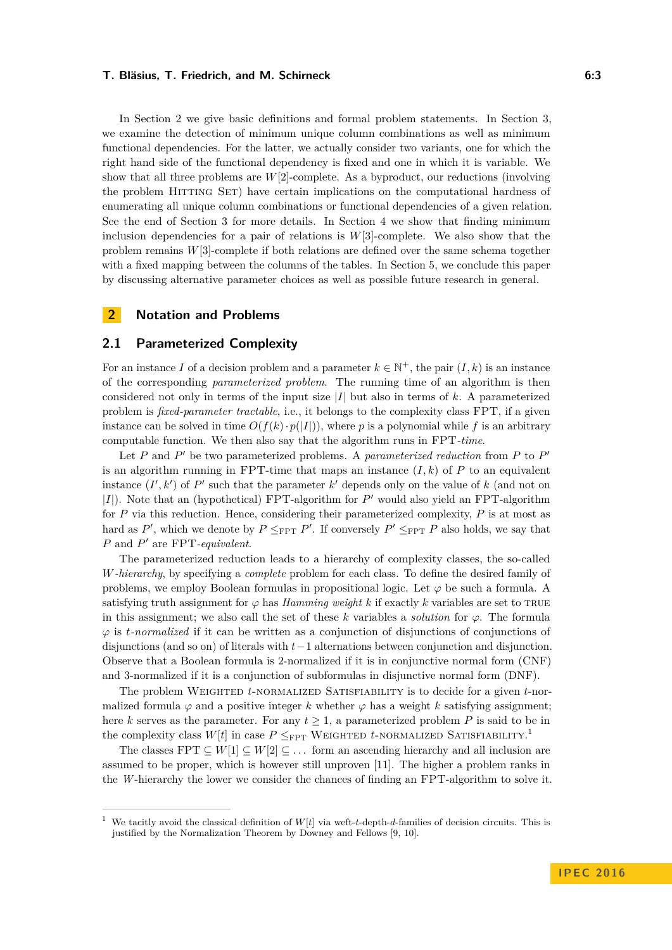In Section [2](#page-2-0) we give basic definitions and formal problem statements. In Section [3,](#page-4-0) we examine the detection of minimum unique column combinations as well as minimum functional dependencies. For the latter, we actually consider two variants, one for which the right hand side of the functional dependency is fixed and one in which it is variable. We show that all three problems are *W*[2]-complete. As a byproduct, our reductions (involving the problem Hitting Set) have certain implications on the computational hardness of enumerating all unique column combinations or functional dependencies of a given relation. See the end of Section [3](#page-4-0) for more details. In Section [4](#page-6-0) we show that finding minimum inclusion dependencies for a pair of relations is *W*[3]-complete. We also show that the problem remains *W*[3]-complete if both relations are defined over the same schema together with a fixed mapping between the columns of the tables. In Section [5,](#page-10-0) we conclude this paper by discussing alternative parameter choices as well as possible future research in general.

# <span id="page-2-0"></span>**2 Notation and Problems**

## **2.1 Parameterized Complexity**

For an instance *I* of a decision problem and a parameter  $k \in \mathbb{N}^+$ , the pair  $(I, k)$  is an instance of the corresponding *parameterized problem*. The running time of an algorithm is then considered not only in terms of the input size |*I*| but also in terms of *k*. A parameterized problem is *fixed-parameter tractable*, i.e., it belongs to the complexity class FPT, if a given instance can be solved in time  $O(f(k) \cdot p(|I|))$ , where p is a polynomial while f is an arbitrary computable function. We then also say that the algorithm runs in FPT*-time*.

Let  $P$  and  $P'$  be two parameterized problems. A *parameterized reduction* from  $P$  to  $P'$ is an algorithm running in FPT-time that maps an instance  $(I, k)$  of  $P$  to an equivalent instance  $(I', k')$  of  $P'$  such that the parameter  $k'$  depends only on the value of  $k$  (and not on  $|I|)$  . Note that an (hypothetical) FPT-algorithm for  $P^\prime$  would also yield an FPT-algorithm for *P* via this reduction. Hence, considering their parameterized complexity, *P* is at most as hard as  $P'$ , which we denote by  $P \leq_{\text{FPT}} P'$ . If conversely  $P' \leq_{\text{FPT}} P$  also holds, we say that *P* and *P*<sup> $\prime$ </sup> are FPT*-equivalent*.

The parameterized reduction leads to a hierarchy of complexity classes, the so-called *W-hierarchy*, by specifying a *complete* problem for each class. To define the desired family of problems, we employ Boolean formulas in propositional logic. Let  $\varphi$  be such a formula. A satisfying truth assignment for  $\varphi$  has *Hamming weight*  $k$  if exactly  $k$  variables are set to TRUE in this assignment; we also call the set of these *k* variables a *solution* for  $\varphi$ . The formula *ϕ* is *t-normalized* if it can be written as a conjunction of disjunctions of conjunctions of disjunctions (and so on) of literals with *t*−1 alternations between conjunction and disjunction. Observe that a Boolean formula is 2-normalized if it is in conjunctive normal form (CNF) and 3-normalized if it is a conjunction of subformulas in disjunctive normal form (DNF).

The problem Weighted *t*-normalized Satisfiability is to decide for a given *t*-normalized formula  $\varphi$  and a positive integer k whether  $\varphi$  has a weight k satisfying assignment; here *k* serves as the parameter. For any  $t \geq 1$ , a parameterized problem *P* is said to be in the complexity class  $W[t]$  in case  $P \leq_{\text{FPT}}$  WEIGHTED *t*-NORMALIZED SATISFIABILITY.<sup>[1](#page-2-1)</sup>

The classes FPT  $\subset W[1] \subset W[2] \subset \ldots$  form an ascending hierarchy and all inclusion are assumed to be proper, which is however still unproven [\[11\]](#page-11-6). The higher a problem ranks in the *W*-hierarchy the lower we consider the chances of finding an FPT-algorithm to solve it.

<span id="page-2-1"></span><sup>1</sup> We tacitly avoid the classical definition of *W*[*t*] via weft-*t*-depth-*d*-families of decision circuits. This is justified by the Normalization Theorem by Downey and Fellows [\[9,](#page-11-9) [10\]](#page-11-10).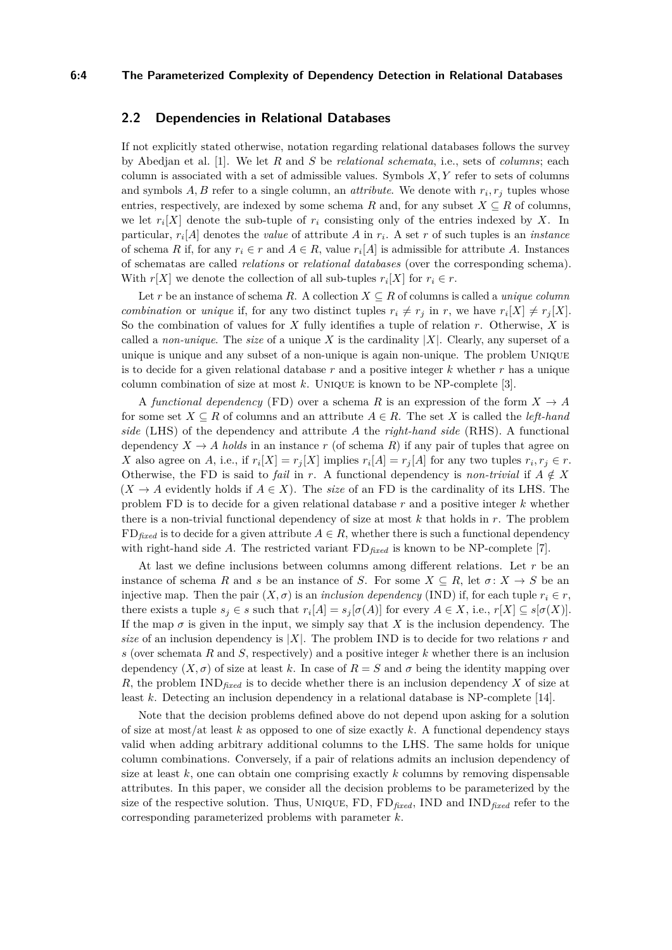### **6:4 The Parameterized Complexity of Dependency Detection in Relational Databases**

## **2.2 Dependencies in Relational Databases**

If not explicitly stated otherwise, notation regarding relational databases follows the survey by Abedjan et al. [\[1\]](#page-11-0). We let *R* and *S* be *relational schemata*, i.e., sets of *columns*; each column is associated with a set of admissible values. Symbols *X, Y* refer to sets of columns and symbols  $A, B$  refer to a single column, an *attribute*. We denote with  $r_i, r_j$  tuples whose entries, respectively, are indexed by some schema *R* and, for any subset  $X \subseteq R$  of columns, we let  $r_i[X]$  denote the sub-tuple of  $r_i$  consisting only of the entries indexed by X. In particular, *r<sup>i</sup>* [*A*] denotes the *value* of attribute *A* in *r<sup>i</sup>* . A set *r* of such tuples is an *instance* of schema *R* if, for any  $r_i \in r$  and  $A \in R$ , value  $r_i[A]$  is admissible for attribute *A*. Instances of schematas are called *relations* or *relational databases* (over the corresponding schema). With  $r[X]$  we denote the collection of all sub-tuples  $r_i[X]$  for  $r_i \in r$ .

Let r be an instance of schema *R*. A collection  $X \subseteq R$  of columns is called a *unique column combination* or *unique* if, for any two distinct tuples  $r_i \neq r_j$  in *r*, we have  $r_i[X] \neq r_j[X]$ . So the combination of values for *X* fully identifies a tuple of relation *r*. Otherwise, *X* is called a *non-unique*. The *size* of a unique *X* is the cardinality  $|X|$ . Clearly, any superset of a unique is unique and any subset of a non-unique is again non-unique. The problem Unique is to decide for a given relational database *r* and a positive integer *k* whether *r* has a unique column combination of size at most *k*. Unique is known to be NP-complete [\[3\]](#page-11-1).

A *functional dependency* (FD) over a schema R is an expression of the form  $X \to A$ for some set  $X \subseteq R$  of columns and an attribute  $A \in R$ . The set X is called the *left-hand side* (LHS) of the dependency and attribute *A* the *right-hand side* (RHS). A functional dependency  $X \to A$  *holds* in an instance r (of schema R) if any pair of tuples that agree on X also agree on A, i.e., if  $r_i[X] = r_j[X]$  implies  $r_i[A] = r_j[A]$  for any two tuples  $r_i, r_j \in r$ . Otherwise, the FD is said to *fail* in *r*. A functional dependency is *non-trivial* if  $A \notin X$  $(X \to A$  evidently holds if  $A \in X$ ). The *size* of an FD is the cardinality of its LHS. The problem FD is to decide for a given relational database *r* and a positive integer *k* whether there is a non-trivial functional dependency of size at most *k* that holds in *r*. The problem  $FD_{\text{fixed}}$  is to decide for a given attribute  $A \in R$ , whether there is such a functional dependency with right-hand side *A*. The restricted variant FD*fixed* is known to be NP-complete [\[7\]](#page-11-3).

At last we define inclusions between columns among different relations. Let *r* be an instance of schema *R* and *s* be an instance of *S*. For some  $X \subseteq R$ , let  $\sigma: X \to S$  be an injective map. Then the pair  $(X, \sigma)$  is an *inclusion dependency* (IND) if, for each tuple  $r_i \in r$ , there exists a tuple  $s_j \in s$  such that  $r_i[A] = s_j[\sigma(A)]$  for every  $A \in X$ , i.e.,  $r[X] \subseteq s[\sigma(X)]$ . If the map  $\sigma$  is given in the input, we simply say that *X* is the inclusion dependency. The *size* of an inclusion dependency is <sup>|</sup>*X*|. The problem IND is to decide for two relations *<sup>r</sup>* and *s* (over schemata *R* and *S*, respectively) and a positive integer *k* whether there is an inclusion dependency  $(X, \sigma)$  of size at least *k*. In case of  $R = S$  and  $\sigma$  being the identity mapping over *R*, the problem IND*fixed* is to decide whether there is an inclusion dependency *X* of size at least *k*. Detecting an inclusion dependency in a relational database is NP-complete [\[14\]](#page-11-4).

Note that the decision problems defined above do not depend upon asking for a solution of size at most/at least *k* as opposed to one of size exactly *k*. A functional dependency stays valid when adding arbitrary additional columns to the LHS. The same holds for unique column combinations. Conversely, if a pair of relations admits an inclusion dependency of size at least *k*, one can obtain one comprising exactly *k* columns by removing dispensable attributes. In this paper, we consider all the decision problems to be parameterized by the size of the respective solution. Thus, Unique, FD, FD*fixed*, IND and IND*fixed* refer to the corresponding parameterized problems with parameter *k*.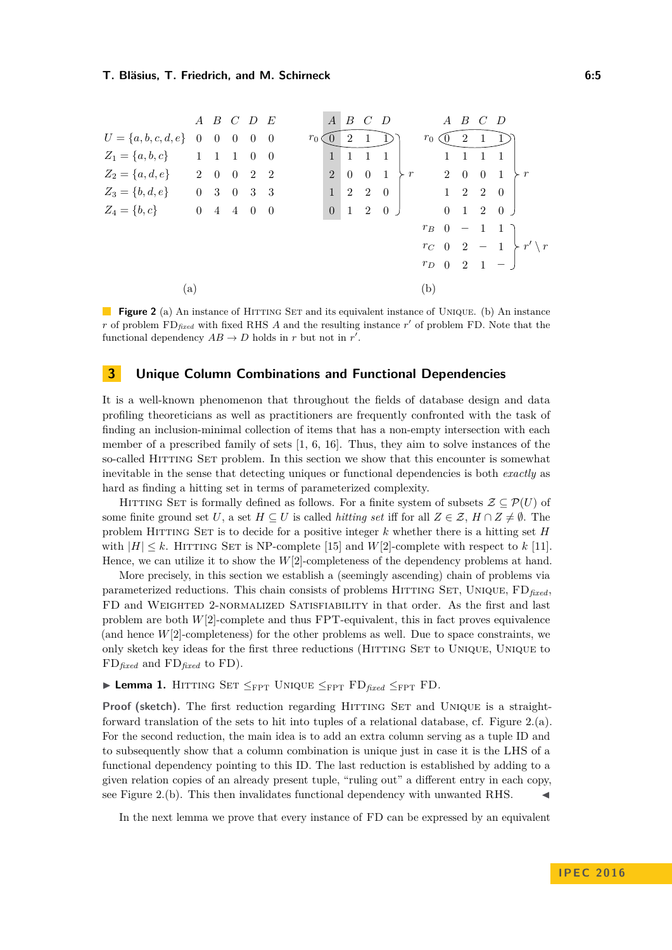<span id="page-4-1"></span>

|                                 |     |                     | $A$ $B$ $C$ $D$ $E$ |                |                           |                |                | $A$ $B$ $C$ $D$ |                |                     |           |                     |            | $A$ $B$ $C$              |             | - D                         |                        |  |
|---------------------------------|-----|---------------------|---------------------|----------------|---------------------------|----------------|----------------|-----------------|----------------|---------------------|-----------|---------------------|------------|--------------------------|-------------|-----------------------------|------------------------|--|
| $U = \{a, b, c, d, e\}$ 0 0 0 0 |     |                     |                     |                | $\overline{0}$            | $r_0 \, \zeta$ | $\cup$         | 2               | $\overline{1}$ |                     |           | $r_0 \infty$        |            | $\overline{2}$           |             |                             |                        |  |
| $Z_1 = \{a, b, c\}$             |     | $1 \quad 1 \quad 1$ |                     | $\overline{0}$ | $\overline{\phantom{0}}$  |                | $\mathbf{1}$   |                 | $\overline{1}$ | -1                  |           |                     |            |                          |             |                             |                        |  |
| $Z_2 = \{a, d, e\}$ 2 0 0 2 2   |     |                     |                     |                |                           |                | $\overline{2}$ |                 |                | $0 \quad 0 \quad 1$ | $\succ r$ |                     | $2\quad 0$ |                          | $0 \quad 1$ |                             | $\succ r$              |  |
| $Z_3 = \{b, d, e\}$ 0 3 0 3     |     |                     |                     |                | $\overline{\phantom{a}3}$ |                | 1              |                 |                | $2 \quad 2 \quad 0$ |           | $1 \quad 2 \quad 2$ |            |                          |             | $\overline{0}$              |                        |  |
| $Z_4 = \{b, c\}$                |     | $0\quad 4$          | 4 0                 |                | $\overline{0}$            |                | $\theta$       | 1               |                | 2 0 J               |           |                     |            |                          |             | $0 \quad 1 \quad 2 \quad 0$ |                        |  |
|                                 |     |                     |                     |                |                           |                |                |                 |                |                     |           | $r_B$ 0             |            | $\overline{\phantom{m}}$ |             | 11                          |                        |  |
|                                 |     |                     |                     |                |                           |                |                |                 |                |                     |           |                     |            |                          |             | $r_C$ 0 2 - 1               | $\succ r' \setminus r$ |  |
|                                 |     |                     |                     |                |                           |                |                |                 |                |                     |           |                     |            |                          |             | $r_{D}$ 0 2 1 - 1           |                        |  |
|                                 | (a) |                     |                     |                |                           |                |                |                 |                |                     |           | (b)                 |            |                          |             |                             |                        |  |

**Figure 2** (a) An instance of HITTING SET and its equivalent instance of UNIQUE. (b) An instance *r* of problem  $FD_{\text{fixed}}$  with fixed RHS *A* and the resulting instance  $r'$  of problem FD. Note that the functional dependency  $AB \to D$  holds in *r* but not in *r'*.

## <span id="page-4-0"></span>**3 Unique Column Combinations and Functional Dependencies**

It is a well-known phenomenon that throughout the fields of database design and data profiling theoreticians as well as practitioners are frequently confronted with the task of finding an inclusion-minimal collection of items that has a non-empty intersection with each member of a prescribed family of sets [\[1,](#page-11-0) [6,](#page-11-11) [16\]](#page-12-3). Thus, they aim to solve instances of the so-called HITTING SET problem. In this section we show that this encounter is somewhat inevitable in the sense that detecting uniques or functional dependencies is both *exactly* as hard as finding a hitting set in terms of parameterized complexity.

HITTING SET is formally defined as follows. For a finite system of subsets  $\mathcal{Z} \subset \mathcal{P}(U)$  of some finite ground set *U*, a set  $H \subseteq U$  is called *hitting set* iff for all  $Z \in \mathcal{Z}$ ,  $H \cap Z \neq \emptyset$ . The problem Hitting Set is to decide for a positive integer *k* whether there is a hitting set *H* with  $|H| \leq k$ . HITTING SET is NP-complete [\[15\]](#page-11-12) and *W*[2]-complete with respect to *k* [\[11\]](#page-11-6). Hence, we can utilize it to show the *W*[2]-completeness of the dependency problems at hand.

More precisely, in this section we establish a (seemingly ascending) chain of problems via parameterized reductions. This chain consists of problems Hitting Set, Unique, FD*fixed*, FD and Weighted 2-normalized Satisfiability in that order. As the first and last problem are both *W*[2]-complete and thus FPT-equivalent, this in fact proves equivalence (and hence  $W[2]$ -completeness) for the other problems as well. Due to space constraints, we only sketch key ideas for the first three reductions (Hitting Set to Unique, Unique to FD*fixed* and FD*fixed* to FD).

## <span id="page-4-2"></span> $▶$  **Lemma 1.** HITTING SET  $\leq$ <sub>FPT</sub> UNIQUE  $\leq$ <sub>FPT</sub> FD<sub>*fixed*</sub>  $\leq$ <sub>FPT</sub> FD.

Proof (sketch). The first reduction regarding HITTING SET and UNIQUE is a straightforward translation of the sets to hit into tuples of a relational database, cf. Figure [2.](#page-4-1)(a). For the second reduction, the main idea is to add an extra column serving as a tuple ID and to subsequently show that a column combination is unique just in case it is the LHS of a functional dependency pointing to this ID. The last reduction is established by adding to a given relation copies of an already present tuple, "ruling out" a different entry in each copy, see Figure [2.](#page-4-1)(b). This then invalidates functional dependency with unwanted RHS.

In the next lemma we prove that every instance of FD can be expressed by an equivalent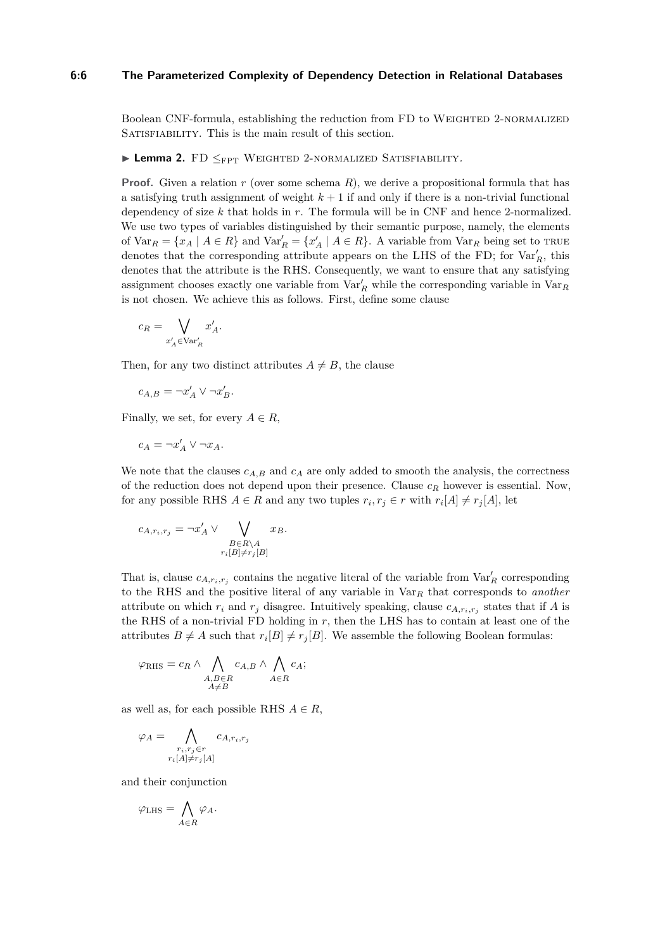#### **6:6 The Parameterized Complexity of Dependency Detection in Relational Databases**

Boolean CNF-formula, establishing the reduction from FD to Weighted 2-normalized SATISFIABILITY. This is the main result of this section.

<span id="page-5-0"></span><sup>I</sup> **Lemma 2.** FD <sup>≤</sup>FPT Weighted <sup>2</sup>-normalized Satisfiability*.*

**Proof.** Given a relation *r* (over some schema *R*), we derive a propositional formula that has a satisfying truth assignment of weight  $k+1$  if and only if there is a non-trivial functional dependency of size *k* that holds in *r*. The formula will be in CNF and hence 2-normalized. We use two types of variables distinguished by their semantic purpose, namely, the elements of  $\text{Var}_R = \{x_A \mid A \in R\}$  and  $\text{Var}'_R = \{x'_A \mid A \in R\}$ . A variable from  $\text{Var}_R$  being set to TRUE denotes that the corresponding attribute appears on the LHS of the FD; for  $\text{Var}'_R$ , this denotes that the attribute is the RHS. Consequently, we want to ensure that any satisfying assignment chooses exactly one variable from  $Var'_R$  while the corresponding variable in  $Var_R$ is not chosen. We achieve this as follows. First, define some clause

$$
c_R = \bigvee_{x'_A \in \text{Var}'_R} x'_A.
$$

Then, for any two distinct attributes  $A \neq B$ , the clause

$$
c_{A,B} = \neg x'_A \lor \neg x'_B.
$$

Finally, we set, for every  $A \in R$ ,

$$
c_A = \neg x'_A \lor \neg x_A.
$$

We note that the clauses  $c_{A,B}$  and  $c_A$  are only added to smooth the analysis, the correctness of the reduction does not depend upon their presence. Clause *c<sup>R</sup>* however is essential. Now, for any possible RHS  $A \in R$  and any two tuples  $r_i, r_j \in r$  with  $r_i[A] \neq r_j[A]$ , let

$$
c_{A,r_i,r_j} = \neg x'_A \vee \bigvee_{\substack{B \in R \setminus A \\ r_i[B] \neq r_j[B]}} x_B.
$$

That is, clause  $c_{A,r_i,r_j}$  contains the negative literal of the variable from  $\text{Var}'_R$  corresponding to the RHS and the positive literal of any variable in Var*<sup>R</sup>* that corresponds to *another* attribute on which  $r_i$  and  $r_j$  disagree. Intuitively speaking, clause  $c_{A,r_i,r_j}$  states that if  $A$  is the RHS of a non-trivial FD holding in *r*, then the LHS has to contain at least one of the attributes  $B \neq A$  such that  $r_i[B] \neq r_j[B]$ . We assemble the following Boolean formulas:

$$
\varphi_{\text{RHS}} = c_R \wedge \bigwedge_{\substack{A,B \in R \\ A \neq B}} c_{A,B} \wedge \bigwedge_{A \in R} c_A;
$$

as well as, for each possible RHS  $A \in R$ ,

$$
\varphi_A = \bigwedge_{\substack{r_i, r_j \in r \\ r_i[A] \neq r_j[A]}} c_{A, r_i, r_j}
$$

and their conjunction

$$
\varphi_{\text{LHS}} = \bigwedge_{A \in R} \varphi_A.
$$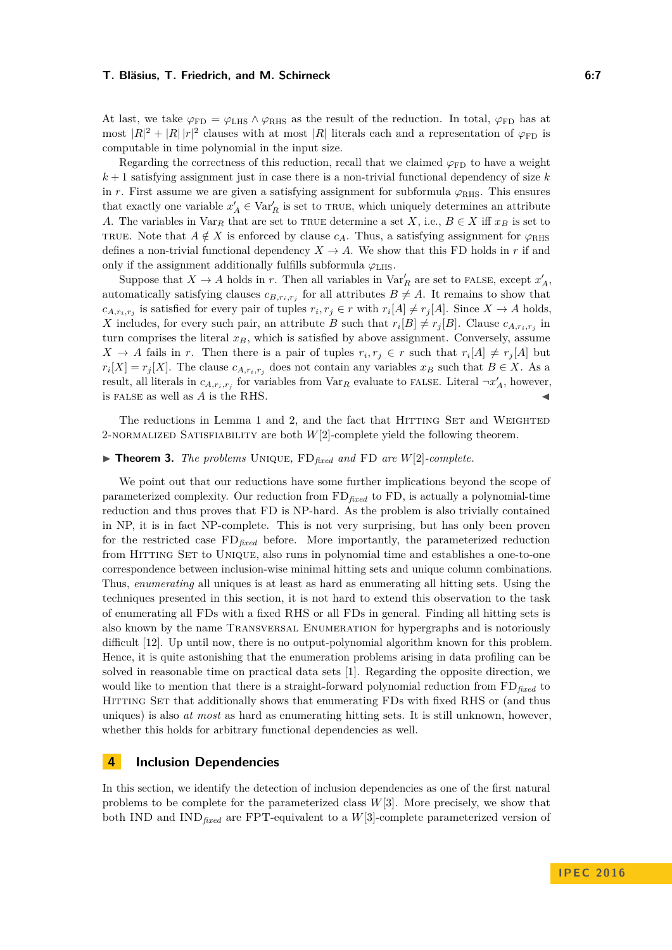At last, we take  $\varphi_{FD} = \varphi_{LHS} \wedge \varphi_{RHS}$  as the result of the reduction. In total,  $\varphi_{FD}$  has at most  $|R|^2 + |R||r|^2$  clauses with at most  $|R|$  literals each and a representation of  $\varphi_{FD}$  is computable in time polynomial in the input size.

Regarding the correctness of this reduction, recall that we claimed  $\varphi_{FD}$  to have a weight *k* + 1 satisfying assignment just in case there is a non-trivial functional dependency of size *k* in *r*. First assume we are given a satisfying assignment for subformula  $\varphi_{RHS}$ . This ensures that exactly one variable  $x'_A \in \text{Var}'_R$  is set to TRUE, which uniquely determines an attribute *A*. The variables in  $\text{Var}_R$  that are set to TRUE determine a set *X*, i.e.,  $B \in X$  iff  $x_B$  is set to TRUE. Note that  $A \notin X$  is enforced by clause  $c_A$ . Thus, a satisfying assignment for  $\varphi_{RHS}$ defines a non-trivial functional dependency  $X \to A$ . We show that this FD holds in *r* if and only if the assignment additionally fulfills subformula  $\varphi$ <sub>LHS</sub>.

Suppose that  $X \to A$  holds in *r*. Then all variables in  $\text{Var}'_R$  are set to FALSE, except  $x'_A$ , automatically satisfying clauses  $c_{B,r_i,r_j}$  for all attributes  $B \neq A$ . It remains to show that  $c_{A,r_i,r_j}$  is satisfied for every pair of tuples  $r_i, r_j \in r$  with  $r_i[A] \neq r_j[A]$ . Since  $X \to A$  holds, *X* includes, for every such pair, an attribute *B* such that  $r_i[B] \neq r_j[B]$ . Clause  $c_{A,r_i,r_j}$  in turn comprises the literal  $x_B$ , which is satisfied by above assignment. Conversely, assume  $X \to A$  fails in *r*. Then there is a pair of tuples  $r_i, r_j \in r$  such that  $r_i[A] \neq r_j[A]$  but  $r_i[X] = r_j[X]$ . The clause  $c_{A,r_i,r_j}$  does not contain any variables  $x_B$  such that  $B \in X$ . As a result, all literals in  $c_{A,r_i,r_j}$  for variables from  $\text{Var}_R$  evaluate to FALSE. Literal  $\neg x'_A$ , however, is FALSE as well as *A* is the RHS.

The reductions in Lemma [1](#page-4-2) and [2,](#page-5-0) and the fact that HITTING SET and WEIGHTED 2-normalized Satisfiability are both *W*[2]-complete yield the following theorem.

## $\blacktriangleright$  **Theorem 3.** *The problems* UNIQUE,  $FD_{fixed}$  *and*  $FD$  *are*  $W[2]$ *-complete.*

We point out that our reductions have some further implications beyond the scope of parameterized complexity. Our reduction from FD*fixed* to FD, is actually a polynomial-time reduction and thus proves that FD is NP-hard. As the problem is also trivially contained in NP, it is in fact NP-complete. This is not very surprising, but has only been proven for the restricted case FD*fixed* before. More importantly, the parameterized reduction from Hitting Set to Unique, also runs in polynomial time and establishes a one-to-one correspondence between inclusion-wise minimal hitting sets and unique column combinations. Thus, *enumerating* all uniques is at least as hard as enumerating all hitting sets. Using the techniques presented in this section, it is not hard to extend this observation to the task of enumerating all FDs with a fixed RHS or all FDs in general. Finding all hitting sets is also known by the name Transversal Enumeration for hypergraphs and is notoriously difficult [\[12\]](#page-11-13). Up until now, there is no output-polynomial algorithm known for this problem. Hence, it is quite astonishing that the enumeration problems arising in data profiling can be solved in reasonable time on practical data sets [\[1\]](#page-11-0). Regarding the opposite direction, we would like to mention that there is a straight-forward polynomial reduction from FD*fixed* to Hitting Set that additionally shows that enumerating FDs with fixed RHS or (and thus uniques) is also *at most* as hard as enumerating hitting sets. It is still unknown, however, whether this holds for arbitrary functional dependencies as well.

## <span id="page-6-0"></span>**4 Inclusion Dependencies**

In this section, we identify the detection of inclusion dependencies as one of the first natural problems to be complete for the parameterized class *W*[3]. More precisely, we show that both IND and IND*fixed* are FPT-equivalent to a *W*[3]-complete parameterized version of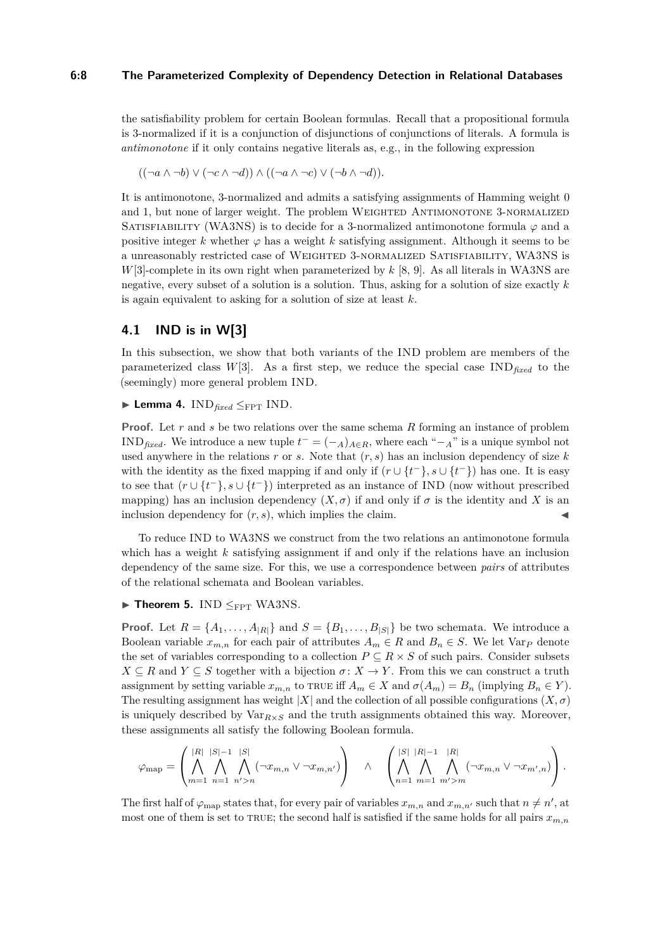#### **6:8 The Parameterized Complexity of Dependency Detection in Relational Databases**

the satisfiability problem for certain Boolean formulas. Recall that a propositional formula is 3-normalized if it is a conjunction of disjunctions of conjunctions of literals. A formula is *antimonotone* if it only contains negative literals as, e.g., in the following expression

$$
((\neg a \wedge \neg b) \vee (\neg c \wedge \neg d)) \wedge ((\neg a \wedge \neg c) \vee (\neg b \wedge \neg d)).
$$

It is antimonotone, 3-normalized and admits a satisfying assignments of Hamming weight 0 and 1, but none of larger weight. The problem WEIGHTED ANTIMONOTONE 3-NORMALIZED SATISFIABILITY (WA3NS) is to decide for a 3-normalized antimonotone formula  $\varphi$  and a positive integer *k* whether  $\varphi$  has a weight *k* satisfying assignment. Although it seems to be a unreasonably restricted case of Weighted 3-normalized Satisfiability, WA3NS is *W*[3]-complete in its own right when parameterized by *k* [\[8,](#page-11-14) [9\]](#page-11-9). As all literals in WA3NS are negative, every subset of a solution is a solution. Thus, asking for a solution of size exactly *k* is again equivalent to asking for a solution of size at least *k*.

## <span id="page-7-2"></span>**4.1 IND is in W[3]**

In this subsection, we show that both variants of the IND problem are members of the parameterized class  $W[3]$ . As a first step, we reduce the special case  $IND_{fixed}$  to the (seemingly) more general problem IND.

<span id="page-7-1"></span> $\blacktriangleright$  **Lemma 4.** IND<sub>fixed</sub>  $\leq_{\text{FPT}}$  IND.

**Proof.** Let *r* and *s* be two relations over the same schema *R* forming an instance of problem IND<sub>fixed</sub>. We introduce a new tuple  $t^- = (-A)_{A \in R}$ , where each " $-A$ " is a unique symbol not used anywhere in the relations *r* or *s*. Note that (*r, s*) has an inclusion dependency of size *k* with the identity as the fixed mapping if and only if  $(r \cup \{t^-\}, s \cup \{t^-\})$  has one. It is easy to see that  $(r \cup \{t^-\}, s \cup \{t^-\})$  interpreted as an instance of IND (now without prescribed mapping) has an inclusion dependency  $(X, \sigma)$  if and only if  $\sigma$  is the identity and X is an inclusion dependency for  $(r, s)$ , which implies the claim.

To reduce IND to WA3NS we construct from the two relations an antimonotone formula which has a weight *k* satisfying assignment if and only if the relations have an inclusion dependency of the same size. For this, we use a correspondence between *pairs* of attributes of the relational schemata and Boolean variables.

## <span id="page-7-0"></span> $\blacktriangleright$  **Theorem 5.** IND  $\leq_{\text{FPT}}$  WA3NS.

**Proof.** Let  $R = \{A_1, \ldots, A_{|R|}\}$  and  $S = \{B_1, \ldots, B_{|S|}\}$  be two schemata. We introduce a Boolean variable  $x_{m,n}$  for each pair of attributes  $A_m \in R$  and  $B_n \in S$ . We let Var<sub>P</sub> denote the set of variables corresponding to a collection  $P \subseteq R \times S$  of such pairs. Consider subsets  $X \subseteq R$  and  $Y \subseteq S$  together with a bijection  $\sigma \colon X \to Y$ . From this we can construct a truth assignment by setting variable  $x_{m,n}$  to true iff  $A_m \in X$  and  $\sigma(A_m) = B_n$  (implying  $B_n \in Y$ ). The resulting assignment has weight  $|X|$  and the collection of all possible configurations  $(X, \sigma)$ is uniquely described by  $Var_{R\times S}$  and the truth assignments obtained this way. Moreover, these assignments all satisfy the following Boolean formula.

$$
\varphi_{\mathrm{map}} = \left( \bigwedge_{m=1}^{|R|} \bigwedge_{n=1}^{|S|-1} \bigwedge_{n'=n}^{|S|} (\neg x_{m,n} \vee \neg x_{m,n'}) \right) \quad \wedge \quad \left( \bigwedge_{n=1}^{|S|} \bigwedge_{m=1}^{|R|-1} \bigwedge_{m'=m}^{|R|} (\neg x_{m,n} \vee \neg x_{m',n}) \right).
$$

The first half of  $\varphi_{\text{map}}$  states that, for every pair of variables  $x_{m,n}$  and  $x_{m,n'}$  such that  $n \neq n'$ , at most one of them is set to TRUE; the second half is satisfied if the same holds for all pairs  $x_{m,n}$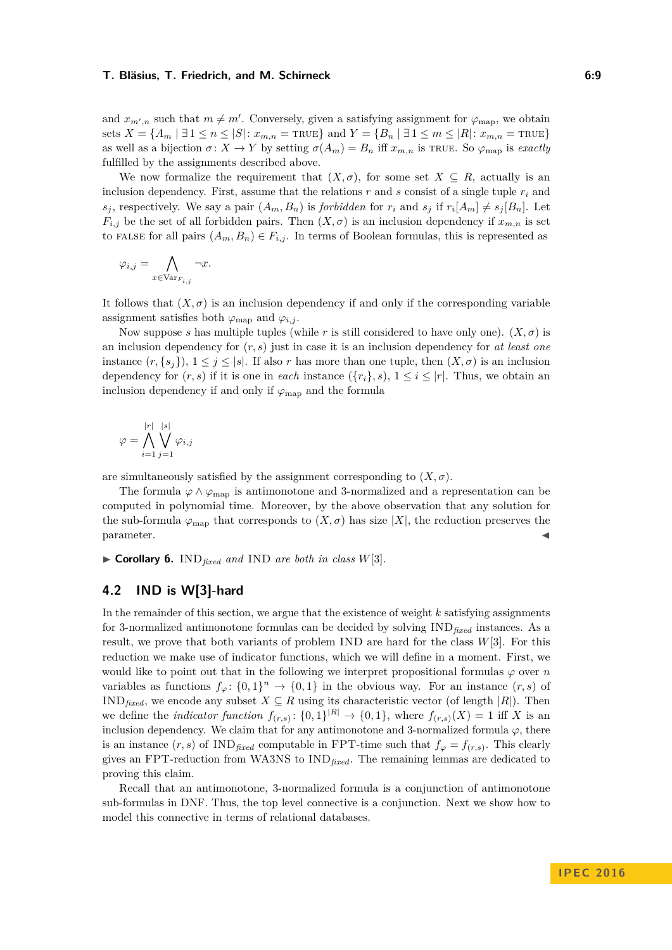and  $x_{m',n}$  such that  $m \neq m'$ . Conversely, given a satisfying assignment for  $\varphi_{\text{map}}$ , we obtain sets  $X = \{A_m \mid \exists 1 \leq n \leq |S| : x_{m,n} = \text{TRUE}\}$  and  $Y = \{B_n \mid \exists 1 \leq m \leq |R| : x_{m,n} = \text{TRUE}\}$ as well as a bijection  $\sigma: X \to Y$  by setting  $\sigma(A_m) = B_n$  iff  $x_{m,n}$  is TRUE. So  $\varphi_{\text{map}}$  is *exactly* fulfilled by the assignments described above.

We now formalize the requirement that  $(X, \sigma)$ , for some set  $X \subseteq R$ , actually is an inclusion dependency. First, assume that the relations  $r$  and  $s$  consist of a single tuple  $r_i$  and  $s_j$ , respectively. We say a pair  $(A_m, B_n)$  is *forbidden* for  $r_i$  and  $s_j$  if  $r_i[A_m] \neq s_j[B_n]$ . Let  $F_{i,j}$  be the set of all forbidden pairs. Then  $(X, \sigma)$  is an inclusion dependency if  $x_{m,n}$  is set to FALSE for all pairs  $(A_m, B_n) \in F_{i,j}$ . In terms of Boolean formulas, this is represented as

$$
\varphi_{i,j} = \bigwedge_{x \in \mathrm{Var}_{F_{i,j}}} \neg x.
$$

It follows that  $(X, \sigma)$  is an inclusion dependency if and only if the corresponding variable assignment satisfies both  $\varphi_{\text{map}}$  and  $\varphi_{i,j}$ .

Now suppose *s* has multiple tuples (while *r* is still considered to have only one).  $(X, \sigma)$  is an inclusion dependency for (*r, s*) just in case it is an inclusion dependency for *at least one* instance  $(r, \{s_i\})$ ,  $1 \leq j \leq |s|$ . If also *r* has more than one tuple, then  $(X, \sigma)$  is an inclusion dependency for  $(r, s)$  if it is one in *each* instance  $({r_i}, s)$ ,  $1 \le i \le |r|$ . Thus, we obtain an inclusion dependency if and only if  $\varphi_{\text{map}}$  and the formula

$$
\varphi = \bigwedge_{i=1}^{|r|} \bigvee_{j=1}^{|s|} \varphi_{i,j}
$$

are simultaneously satisfied by the assignment corresponding to  $(X, \sigma)$ .

The formula  $\varphi \wedge \varphi_{\text{map}}$  is antimonotone and 3-normalized and a representation can be computed in polynomial time. Moreover, by the above observation that any solution for the sub-formula  $\varphi_{\text{map}}$  that corresponds to  $(X, \sigma)$  has size  $|X|$ , the reduction preserves the parameter.  $\blacksquare$  parameter.

 $\triangleright$  **Corollary 6.** IND<sub>fixed</sub> and IND are both in class  $W[3]$ .

## **4.2 IND is W[3]-hard**

In the remainder of this section, we argue that the existence of weight *k* satisfying assignments for 3-normalized antimonotone formulas can be decided by solving IND*fixed* instances. As a result, we prove that both variants of problem IND are hard for the class *W*[3]. For this reduction we make use of indicator functions, which we will define in a moment. First, we would like to point out that in the following we interpret propositional formulas  $\varphi$  over *n* variables as functions  $f_\varphi: \{0,1\}^n \to \{0,1\}$  in the obvious way. For an instance  $(r, s)$  of IND<sub>fixed</sub>, we encode any subset  $X \subseteq R$  using its characteristic vector (of length |*R*|). Then we define the *indicator function*  $f_{(r,s)}: \{0,1\}^{|R|} \to \{0,1\}$ , where  $f_{(r,s)}(X) = 1$  iff *X* is an inclusion dependency. We claim that for any antimonotone and 3-normalized formula  $\varphi$ , there is an instance  $(r, s)$  of  $IND_{\text{fixed}}$  computable in FPT-time such that  $f_{\varphi} = f_{(r, s)}$ . This clearly gives an FPT-reduction from WA3NS to IND*fixed*. The remaining lemmas are dedicated to proving this claim.

Recall that an antimonotone, 3-normalized formula is a conjunction of antimonotone sub-formulas in DNF. Thus, the top level connective is a conjunction. Next we show how to model this connective in terms of relational databases.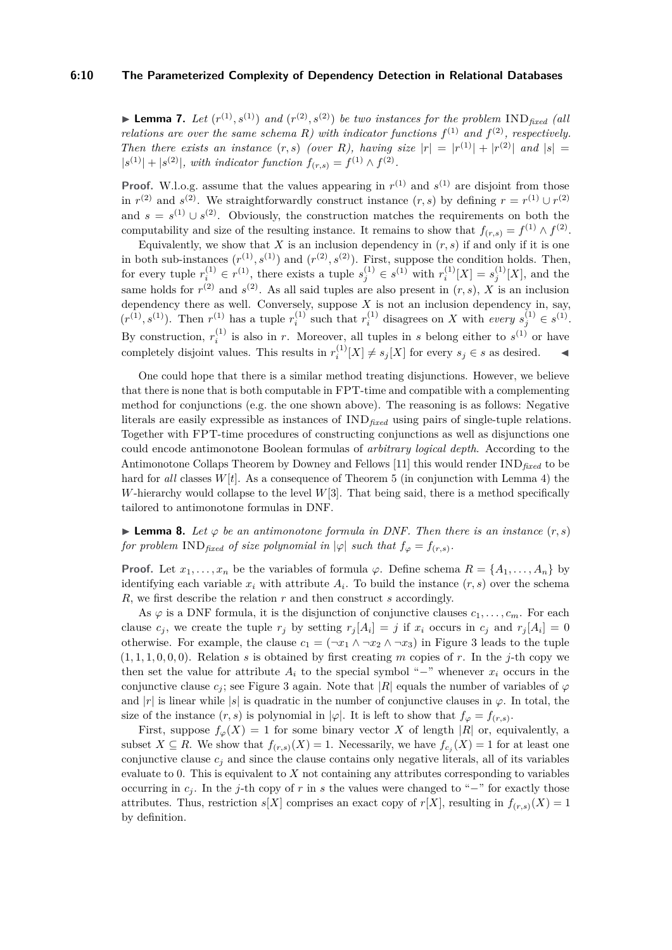#### **6:10 The Parameterized Complexity of Dependency Detection in Relational Databases**

<span id="page-9-1"></span>**Example 7.** Let  $(r^{(1)}, s^{(1)})$  and  $(r^{(2)}, s^{(2)})$  be two instances for the problem  $\text{IND}_{\text{fixed}}$  (all *relations are over the same schema R)* with indicator functions  $f^{(1)}$  *and*  $f^{(2)}$ *, respectively. Then there exists an instance*  $(r, s)$  *(over R)*, having size  $|r| = |r^{(1)}| + |r^{(2)}|$  *and*  $|s| =$  $|s^{(1)}| + |s^{(2)}|$ , with indicator function  $f_{(r,s)} = f^{(1)} \wedge f^{(2)}$ .

**Proof.** W.l.o.g. assume that the values appearing in  $r^{(1)}$  and  $s^{(1)}$  are disjoint from those in  $r^{(2)}$  and  $s^{(2)}$ . We straightforwardly construct instance  $(r, s)$  by defining  $r = r^{(1)} \cup r^{(2)}$ and  $s = s^{(1)} \cup s^{(2)}$ . Obviously, the construction matches the requirements on both the computability and size of the resulting instance. It remains to show that  $f_{(r,s)} = f^{(1)} \wedge f^{(2)}$ .

Equivalently, we show that  $X$  is an inclusion dependency in  $(r, s)$  if and only if it is one in both sub-instances  $(r^{(1)}, s^{(1)})$  and  $(r^{(2)}, s^{(2)})$ . First, suppose the condition holds. Then, for every tuple  $r_i^{(1)} \in r^{(1)}$ , there exists a tuple  $s_j^{(1)} \in s^{(1)}$  with  $r_i^{(1)}$  $s_i^{(1)}[X] = s_j^{(1)}$  $j^{(1)}[X]$ , and the same holds for  $r^{(2)}$  and  $s^{(2)}$ . As all said tuples are also present in  $(r, s)$ , X is an inclusion dependency there as well. Conversely, suppose *X* is not an inclusion dependency in, say,  $(r^{(1)}, s^{(1)})$ . Then  $r^{(1)}$  has a tuple  $r_i^{(1)}$  $i^{(1)}$  such that  $r_i^{(1)}$  $i^{(1)}$  disagrees on *X* with *every*  $s_j^{(1)} \in s^{(1)}$ . By construction,  $r_i^{(1)}$  $i_j^{(1)}$  is also in *r*. Moreover, all tuples in *s* belong either to  $s^{(1)}$  or have completely disjoint values. This results in  $r_i^{(1)}$  $i^{(1)}[X] \neq s_j[X]$  for every  $s_j \in s$  as desired.

One could hope that there is a similar method treating disjunctions. However, we believe that there is none that is both computable in FPT-time and compatible with a complementing method for conjunctions (e.g. the one shown above). The reasoning is as follows: Negative literals are easily expressible as instances of IND*fixed* using pairs of single-tuple relations. Together with FPT-time procedures of constructing conjunctions as well as disjunctions one could encode antimonotone Boolean formulas of *arbitrary logical depth*. According to the Antimonotone Collaps Theorem by Downey and Fellows [\[11\]](#page-11-6) this would render IND*fixed* to be hard for *all* classes  $W[t]$ . As a consequence of Theorem [5](#page-7-0) (in conjunction with Lemma [4\)](#page-7-1) the *W*-hierarchy would collapse to the level *W*[3]. That being said, there is a method specifically tailored to antimonotone formulas in DNF.

<span id="page-9-0"></span>**Lemma 8.** Let  $\varphi$  be an antimonotone formula in DNF. Then there is an instance  $(r, s)$ *for problem*  $IND_{\text{fixed}}$  *of size polynomial in*  $|\varphi|$  *such that*  $f_{\varphi} = f_{(r,s)}$ *.* 

**Proof.** Let  $x_1, \ldots, x_n$  be the variables of formula  $\varphi$ . Define schema  $R = \{A_1, \ldots, A_n\}$  by identifying each variable  $x_i$  with attribute  $A_i$ . To build the instance  $(r, s)$  over the schema *R*, we first describe the relation *r* and then construct *s* accordingly.

As  $\varphi$  is a DNF formula, it is the disjunction of conjunctive clauses  $c_1, \ldots, c_m$ . For each clause  $c_j$ , we create the tuple  $r_j$  by setting  $r_j[A_i] = j$  if  $x_i$  occurs in  $c_j$  and  $r_j[A_i] = 0$ otherwise. For example, the clause  $c_1 = (\neg x_1 \land \neg x_2 \land \neg x_3)$  in Figure [3](#page-10-1) leads to the tuple  $(1,1,1,0,0,0)$ . Relation *s* is obtained by first creating *m* copies of *r*. In the *j*-th copy we then set the value for attribute  $A_i$  to the special symbol "−" whenever  $x_i$  occurs in the conjunctive clause  $c_j$ ; see Figure [3](#page-10-1) again. Note that |R| equals the number of variables of  $\varphi$ and  $|r|$  is linear while  $|s|$  is quadratic in the number of conjunctive clauses in  $\varphi$ . In total, the size of the instance  $(r, s)$  is polynomial in  $|\varphi|$ . It is left to show that  $f_{\varphi} = f_{(r,s)}$ .

First, suppose  $f_{\varphi}(X) = 1$  for some binary vector X of length |R| or, equivalently, a subset  $X \subseteq R$ . We show that  $f_{(r,s)}(X) = 1$ . Necessarily, we have  $f_{c_j}(X) = 1$  for at least one conjunctive clause  $c_j$  and since the clause contains only negative literals, all of its variables evaluate to 0. This is equivalent to *X* not containing any attributes corresponding to variables occurring in *c<sup>j</sup>* . In the *j*-th copy of *r* in *s* the values were changed to "−" for exactly those attributes. Thus, restriction  $s[X]$  comprises an exact copy of  $r[X]$ , resulting in  $f_{(r,s)}(X) = 1$ by definition.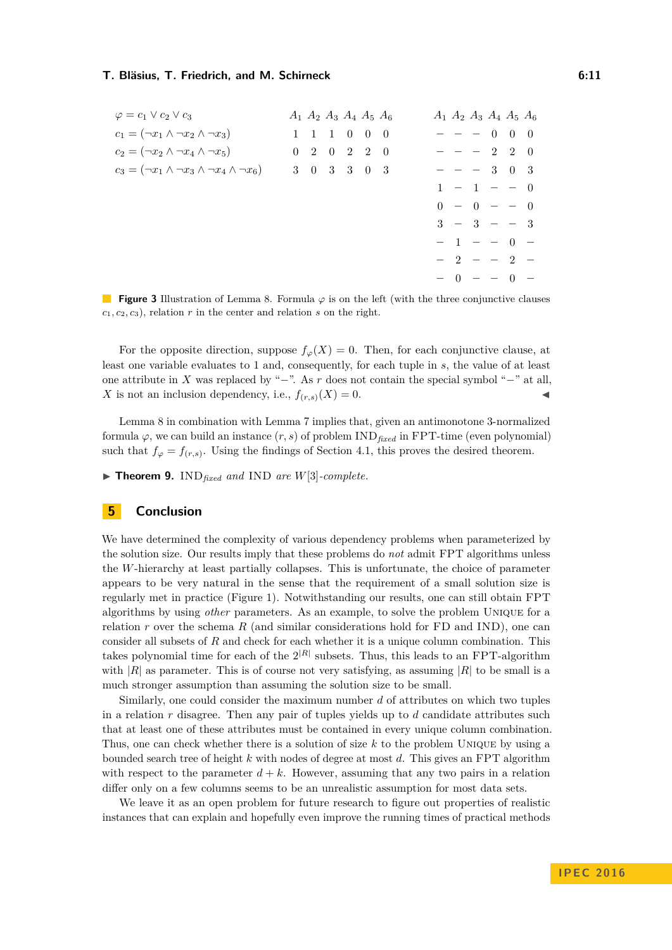<span id="page-10-1"></span>

| $\varphi = c_1 \vee c_2 \vee c_3$                               | $A_1$ $A_2$ $A_3$ $A_4$ $A_5$ $A_6$         |  |  |  | $A_1$ $A_2$ $A_3$ $A_4$ $A_5$ $A_6$ |  |  |
|-----------------------------------------------------------------|---------------------------------------------|--|--|--|-------------------------------------|--|--|
| $c_1 = (\neg x_1 \land \neg x_2 \land \neg x_3)$                | $1 \quad 1 \quad 1 \quad 0 \quad 0 \quad 0$ |  |  |  | $- - - 0 0 0$                       |  |  |
| $c_2 = (\neg x_2 \land \neg x_4 \land \neg x_5)$                | $0 \t2 \t0 \t2 \t2 \t0$                     |  |  |  | $- - - 2 2 0$                       |  |  |
| $c_3 = (\neg x_1 \land \neg x_3 \land \neg x_4 \land \neg x_6)$ | 3 0 3 3 0 3                                 |  |  |  | $- - - 3 0 3$                       |  |  |
|                                                                 |                                             |  |  |  | $1 - 1 - - 0$                       |  |  |
|                                                                 |                                             |  |  |  | $0 - 0 - - 0$                       |  |  |
|                                                                 |                                             |  |  |  | $3 - 3 - - 3$                       |  |  |
|                                                                 |                                             |  |  |  | $-1 - - 0 -$                        |  |  |
|                                                                 |                                             |  |  |  | $-2 - -2 -$                         |  |  |
|                                                                 |                                             |  |  |  | $- 0 - - 0 -$                       |  |  |

**Figure 3** Illustration of Lemma [8.](#page-9-0) Formula *ϕ* is on the left (with the three conjunctive clauses  $c_1, c_2, c_3$ , relation *r* in the center and relation *s* on the right.

For the opposite direction, suppose  $f_\varphi(X) = 0$ . Then, for each conjunctive clause, at least one variable evaluates to 1 and, consequently, for each tuple in *s*, the value of at least one attribute in *X* was replaced by "−". As *r* does not contain the special symbol "−" at all, *X* is not an inclusion dependency, i.e.,  $f_{(r,s)}(X) = 0$ .

Lemma [8](#page-9-0) in combination with Lemma [7](#page-9-1) implies that, given an antimonotone 3-normalized formula  $\varphi$ , we can build an instance  $(r, s)$  of problem IND<sub>fixed</sub> in FPT-time (even polynomial) such that  $f_{\varphi} = f_{(r,s)}$ . Using the findings of Section [4.1,](#page-7-2) this proves the desired theorem.

 $\blacktriangleright$  **Theorem 9.** IND<sub>fixed</sub> and IND are *W*[3]-complete.

## <span id="page-10-0"></span>**5 Conclusion**

We have determined the complexity of various dependency problems when parameterized by the solution size. Our results imply that these problems do *not* admit FPT algorithms unless the *W*-hierarchy at least partially collapses. This is unfortunate, the choice of parameter appears to be very natural in the sense that the requirement of a small solution size is regularly met in practice (Figure [1\)](#page-1-0). Notwithstanding our results, one can still obtain FPT algorithms by using *other* parameters. As an example, to solve the problem Unique for a relation *r* over the schema *R* (and similar considerations hold for FD and IND), one can consider all subsets of *R* and check for each whether it is a unique column combination. This takes polynomial time for each of the  $2^{|R|}$  subsets. Thus, this leads to an FPT-algorithm with  $|R|$  as parameter. This is of course not very satisfying, as assuming  $|R|$  to be small is a much stronger assumption than assuming the solution size to be small.

Similarly, one could consider the maximum number *d* of attributes on which two tuples in a relation *r* disagree. Then any pair of tuples yields up to *d* candidate attributes such that at least one of these attributes must be contained in every unique column combination. Thus, one can check whether there is a solution of size *k* to the problem Unique by using a bounded search tree of height *k* with nodes of degree at most *d*. This gives an FPT algorithm with respect to the parameter  $d + k$ . However, assuming that any two pairs in a relation differ only on a few columns seems to be an unrealistic assumption for most data sets.

We leave it as an open problem for future research to figure out properties of realistic instances that can explain and hopefully even improve the running times of practical methods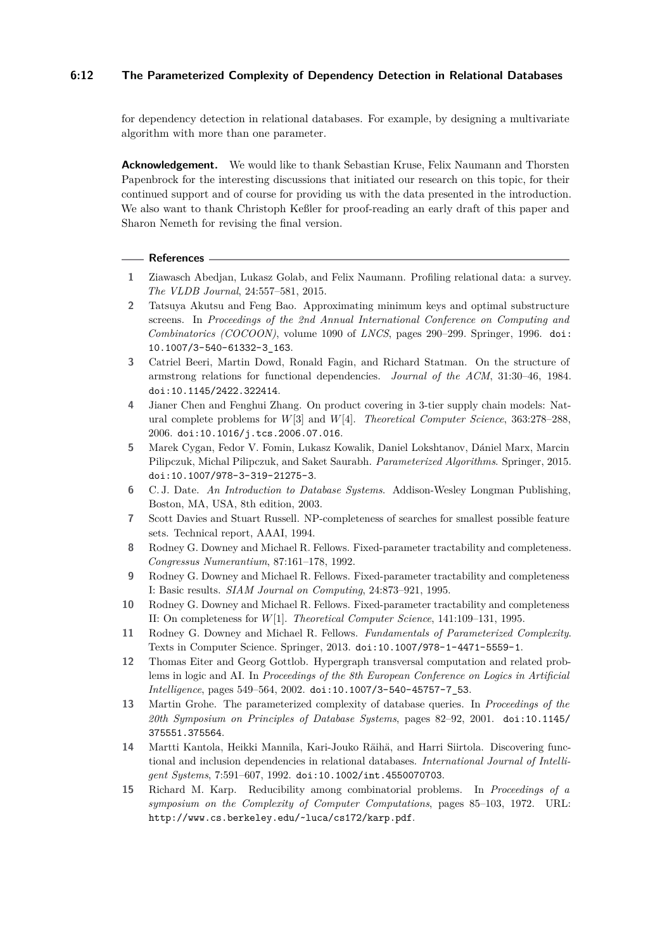## **6:12 The Parameterized Complexity of Dependency Detection in Relational Databases**

for dependency detection in relational databases. For example, by designing a multivariate algorithm with more than one parameter.

**Acknowledgement.** We would like to thank Sebastian Kruse, Felix Naumann and Thorsten Papenbrock for the interesting discussions that initiated our research on this topic, for their continued support and of course for providing us with the data presented in the introduction. We also want to thank Christoph Keßler for proof-reading an early draft of this paper and Sharon Nemeth for revising the final version.

#### **References**

- <span id="page-11-0"></span>**1** Ziawasch Abedjan, Lukasz Golab, and Felix Naumann. Profiling relational data: a survey. *The VLDB Journal*, 24:557–581, 2015.
- <span id="page-11-2"></span>**2** Tatsuya Akutsu and Feng Bao. Approximating minimum keys and optimal substructure screens. In *Proceedings of the 2nd Annual International Conference on Computing and Combinatorics (COCOON)*, volume 1090 of *LNCS*, pages 290–299. Springer, 1996. [doi:](http://dx.doi.org/10.1007/3-540-61332-3_163) [10.1007/3-540-61332-3\\_163](http://dx.doi.org/10.1007/3-540-61332-3_163).
- <span id="page-11-1"></span>**3** Catriel Beeri, Martin Dowd, Ronald Fagin, and Richard Statman. On the structure of armstrong relations for functional dependencies. *Journal of the ACM*, 31:30–46, 1984. [doi:10.1145/2422.322414](http://dx.doi.org/10.1145/2422.322414).
- <span id="page-11-8"></span>**4** Jianer Chen and Fenghui Zhang. On product covering in 3-tier supply chain models: Natural complete problems for *W*[3] and *W*[4]. *Theoretical Computer Science*, 363:278–288, 2006. [doi:10.1016/j.tcs.2006.07.016](http://dx.doi.org/10.1016/j.tcs.2006.07.016).
- <span id="page-11-5"></span>**5** Marek Cygan, Fedor V. Fomin, Lukasz Kowalik, Daniel Lokshtanov, Dániel Marx, Marcin Pilipczuk, Michal Pilipczuk, and Saket Saurabh. *Parameterized Algorithms*. Springer, 2015. [doi:10.1007/978-3-319-21275-3](http://dx.doi.org/10.1007/978-3-319-21275-3).
- <span id="page-11-11"></span>**6** C. J. Date. *An Introduction to Database Systems*. Addison-Wesley Longman Publishing, Boston, MA, USA, 8th edition, 2003.
- <span id="page-11-3"></span>**7** Scott Davies and Stuart Russell. NP-completeness of searches for smallest possible feature sets. Technical report, AAAI, 1994.
- <span id="page-11-14"></span>**8** Rodney G. Downey and Michael R. Fellows. Fixed-parameter tractability and completeness. *Congressus Numerantium*, 87:161–178, 1992.
- <span id="page-11-9"></span>**9** Rodney G. Downey and Michael R. Fellows. Fixed-parameter tractability and completeness I: Basic results. *SIAM Journal on Computing*, 24:873–921, 1995.
- <span id="page-11-10"></span>**10** Rodney G. Downey and Michael R. Fellows. Fixed-parameter tractability and completeness II: On completeness for *W*[1]. *Theoretical Computer Science*, 141:109–131, 1995.
- <span id="page-11-6"></span>**11** Rodney G. Downey and Michael R. Fellows. *Fundamentals of Parameterized Complexity*. Texts in Computer Science. Springer, 2013. [doi:10.1007/978-1-4471-5559-1](http://dx.doi.org/10.1007/978-1-4471-5559-1).
- <span id="page-11-13"></span>**12** Thomas Eiter and Georg Gottlob. Hypergraph transversal computation and related problems in logic and AI. In *Proceedings of the 8th European Conference on Logics in Artificial Intelligence*, pages 549–564, 2002. [doi:10.1007/3-540-45757-7\\_53](http://dx.doi.org/10.1007/3-540-45757-7_53).
- <span id="page-11-7"></span>**13** Martin Grohe. The parameterized complexity of database queries. In *Proceedings of the 20th Symposium on Principles of Database Systems*, pages 82–92, 2001. [doi:10.1145/](http://dx.doi.org/10.1145/375551.375564) [375551.375564](http://dx.doi.org/10.1145/375551.375564).
- <span id="page-11-4"></span>**14** Martti Kantola, Heikki Mannila, Kari-Jouko Räihä, and Harri Siirtola. Discovering functional and inclusion dependencies in relational databases. *International Journal of Intelligent Systems*, 7:591–607, 1992. [doi:10.1002/int.4550070703](http://dx.doi.org/10.1002/int.4550070703).
- <span id="page-11-12"></span>**15** Richard M. Karp. Reducibility among combinatorial problems. In *Proceedings of a symposium on the Complexity of Computer Computations*, pages 85–103, 1972. URL: <http://www.cs.berkeley.edu/~luca/cs172/karp.pdf>.